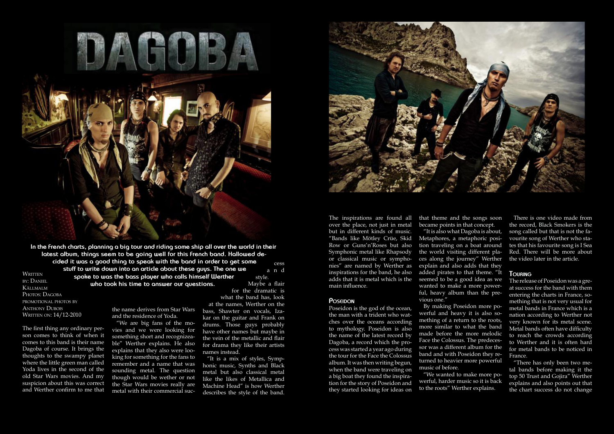

**In the French charts, planning a big tour and riding some ship all over the world in their latest album, things seem to be going well for this French band. Hallowed decided it was a good thing to speak with the band in order to get some stuff to write down into an article about these guys. The one we spoke to was the bass player who calls himself Werther who took his time to answer our questions.** WRITTEN by: DANIEL Källmalm cess a n d style.

PHOTOS: DAGOBA promotional photos by **ANTHONY DUBOIS** WRITTEN ON: 14/12-2010

The first thing any ordinary person comes to think of when it comes to this band is their name Dagoba of course. It brings the thoughts to the swampy planet where the little green man called Yoda lives in the second of the old Star Wars movies. And my suspicion about this was correct and Werther confirm to me that

the name derives from Star Wars and the residence of Yoda.

"We are big fans of the movies and we were looking for something short and recognizeable" Werther explains. He also explains that they also were looking for something for the fans to remember and a name that was sounding metal. The question though would be wether or not the Star Wars movies really are metal with their commercial suc-

Maybe a flair for the dramatic is what the band has, look at the names, Werther on the

bass, Shawter on vocals, Izakar on the guitar and Frank on drums. Those guys probably have other names but maybe in the vein of the metallic and flair for drama they like their artists names instead.

"It is a mix of styles, Symphonic music, Synths and Black metal but also classical metal like the likes of Metallica and Machine Head" is how Werther describes the style of the band.



The inspirations are found all that theme and the songs soon over the place, not just in metal but in different kinds of music. "Bands like Mötley Crüe, Skid Row or Guns'n'Roses but also Symphonic metal like Rhapsody or classical music or symphonies" are named by Werther as inspirations for the band, he also adds that it is metal which is the main influence.

## **POSEIDON**

Poseidon is the god of the ocean, the man with a trident who watches over the oceans according to mythology. Poseidon is also the name of the latest record by Dagoba, a record which the process was started a year ago during the tour for the Face the Colossus album. It was then writing begun, when the band were traveling on a big boat they found the inspiration for the story of Poseidon and they started looking for ideas on

became points in that concept.

"It is also what Dagoba is about, Metaphores, a metaphoric position traveling on a boat around the world visiting different places along the journey" Werther explain and also adds that they added pirates to that theme. "It seemed to be a good idea as we wanted to make a more powerful, heavy album than the previous one."

By making Poseidon more powerful and heavy it is also something of a return to the roots, more similar to what the band made before the more melodic Face the Colossus. The predecessor was a different album for the band and with Poseidon they returned to heavier more powerful music of before.

"We wanted to make more powerful, harder music so it is back to the roots" Werther explains.

There is one video made from the record, Black Smokers is the song called but that is not the favourite song of Werther who states that his favourite song is I Sea Red. There will be more about the video later in the article.

## **TOURING**

The release of Poseidon was a great success for the band with them entering the charts in France, something that is not very usual for metal bands in France which is a nation according to Werther not very known for its metal scene. Metal bands often have difficulty to reach the crowds according to Werther and it is often hard for metal bands to be noticed in France.

"There has only been two metal bands before making it the top 50 Trust and Gojira" Werther explains and also points out that the chart success do not change